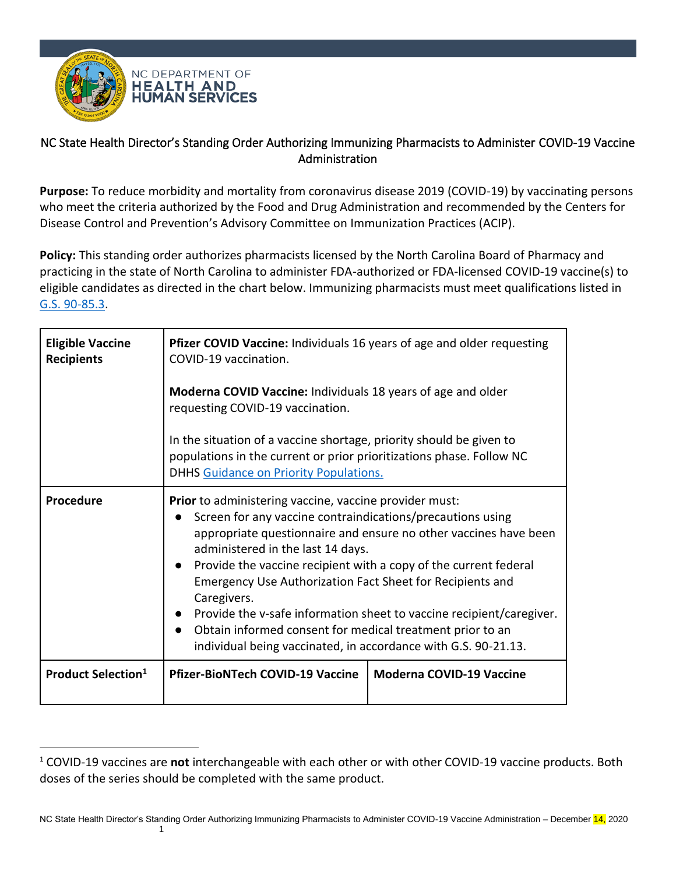

## NC State Health Director's Standing Order Authorizing Immunizing Pharmacists to Administer COVID-19 Vaccine Administration

**Purpose:** To reduce morbidity and mortality from coronavirus disease 2019 (COVID-19) by vaccinating persons who meet the criteria authorized by the Food and Drug Administration and recommended by the Centers for Disease Control and Prevention's Advisory Committee on Immunization Practices (ACIP).

**Policy:** This standing order authorizes pharmacists licensed by the North Carolina Board of Pharmacy and practicing in the state of North Carolina to administer FDA-authorized or FDA-licensed COVID-19 vaccine(s) to eligible candidates as directed in the chart below. Immunizing pharmacists must meet qualifications listed in [G.S. 90-85.3.](http://www.ncbop.org/LawsRules/Statutes.pdf)

| <b>Eligible Vaccine</b><br><b>Recipients</b> | Pfizer COVID Vaccine: Individuals 16 years of age and older requesting<br>COVID-19 vaccination.                                                                                                                                                                                                                                                                                                                                                                                                                                                                                             |                                 |  |
|----------------------------------------------|---------------------------------------------------------------------------------------------------------------------------------------------------------------------------------------------------------------------------------------------------------------------------------------------------------------------------------------------------------------------------------------------------------------------------------------------------------------------------------------------------------------------------------------------------------------------------------------------|---------------------------------|--|
|                                              | Moderna COVID Vaccine: Individuals 18 years of age and older<br>requesting COVID-19 vaccination.                                                                                                                                                                                                                                                                                                                                                                                                                                                                                            |                                 |  |
|                                              | In the situation of a vaccine shortage, priority should be given to<br>populations in the current or prior prioritizations phase. Follow NC<br><b>DHHS Guidance on Priority Populations.</b>                                                                                                                                                                                                                                                                                                                                                                                                |                                 |  |
| Procedure                                    | Prior to administering vaccine, vaccine provider must:<br>Screen for any vaccine contraindications/precautions using<br>appropriate questionnaire and ensure no other vaccines have been<br>administered in the last 14 days.<br>Provide the vaccine recipient with a copy of the current federal<br><b>Emergency Use Authorization Fact Sheet for Recipients and</b><br>Caregivers.<br>Provide the v-safe information sheet to vaccine recipient/caregiver.<br>Obtain informed consent for medical treatment prior to an<br>individual being vaccinated, in accordance with G.S. 90-21.13. |                                 |  |
| <b>Product Selection</b> <sup>1</sup>        | <b>Pfizer-BioNTech COVID-19 Vaccine</b>                                                                                                                                                                                                                                                                                                                                                                                                                                                                                                                                                     | <b>Moderna COVID-19 Vaccine</b> |  |

<sup>1</sup> COVID-19 vaccines are **not** interchangeable with each other or with other COVID-19 vaccine products. Both doses of the series should be completed with the same product.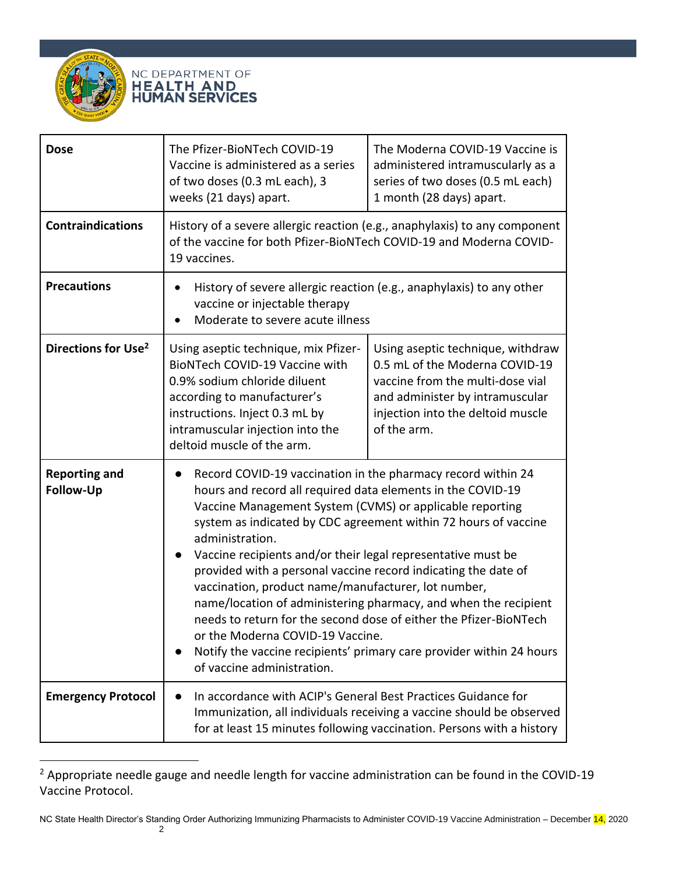



| <b>Dose</b>                       | The Pfizer-BioNTech COVID-19<br>Vaccine is administered as a series<br>of two doses (0.3 mL each), 3<br>weeks (21 days) apart.                                                                                                                                                                                                                                                                                                                                                                                                                                                                                                                                                                                                                           | The Moderna COVID-19 Vaccine is<br>administered intramuscularly as a<br>series of two doses (0.5 mL each)<br>1 month (28 days) apart.                                                          |
|-----------------------------------|----------------------------------------------------------------------------------------------------------------------------------------------------------------------------------------------------------------------------------------------------------------------------------------------------------------------------------------------------------------------------------------------------------------------------------------------------------------------------------------------------------------------------------------------------------------------------------------------------------------------------------------------------------------------------------------------------------------------------------------------------------|------------------------------------------------------------------------------------------------------------------------------------------------------------------------------------------------|
| <b>Contraindications</b>          | History of a severe allergic reaction (e.g., anaphylaxis) to any component<br>of the vaccine for both Pfizer-BioNTech COVID-19 and Moderna COVID-<br>19 vaccines.                                                                                                                                                                                                                                                                                                                                                                                                                                                                                                                                                                                        |                                                                                                                                                                                                |
| <b>Precautions</b>                | History of severe allergic reaction (e.g., anaphylaxis) to any other<br>٠<br>vaccine or injectable therapy<br>Moderate to severe acute illness                                                                                                                                                                                                                                                                                                                                                                                                                                                                                                                                                                                                           |                                                                                                                                                                                                |
| Directions for Use <sup>2</sup>   | Using aseptic technique, mix Pfizer-<br>BioNTech COVID-19 Vaccine with<br>0.9% sodium chloride diluent<br>according to manufacturer's<br>instructions. Inject 0.3 mL by<br>intramuscular injection into the<br>deltoid muscle of the arm.                                                                                                                                                                                                                                                                                                                                                                                                                                                                                                                | Using aseptic technique, withdraw<br>0.5 mL of the Moderna COVID-19<br>vaccine from the multi-dose vial<br>and administer by intramuscular<br>injection into the deltoid muscle<br>of the arm. |
| <b>Reporting and</b><br>Follow-Up | Record COVID-19 vaccination in the pharmacy record within 24<br>hours and record all required data elements in the COVID-19<br>Vaccine Management System (CVMS) or applicable reporting<br>system as indicated by CDC agreement within 72 hours of vaccine<br>administration.<br>Vaccine recipients and/or their legal representative must be<br>provided with a personal vaccine record indicating the date of<br>vaccination, product name/manufacturer, lot number,<br>name/location of administering pharmacy, and when the recipient<br>needs to return for the second dose of either the Pfizer-BioNTech<br>or the Moderna COVID-19 Vaccine.<br>Notify the vaccine recipients' primary care provider within 24 hours<br>of vaccine administration. |                                                                                                                                                                                                |
| <b>Emergency Protocol</b>         | In accordance with ACIP's General Best Practices Guidance for<br>Immunization, all individuals receiving a vaccine should be observed<br>for at least 15 minutes following vaccination. Persons with a history                                                                                                                                                                                                                                                                                                                                                                                                                                                                                                                                           |                                                                                                                                                                                                |

<sup>&</sup>lt;sup>2</sup> Appropriate needle gauge and needle length for vaccine administration can be found in the COVID-19 Vaccine Protocol.